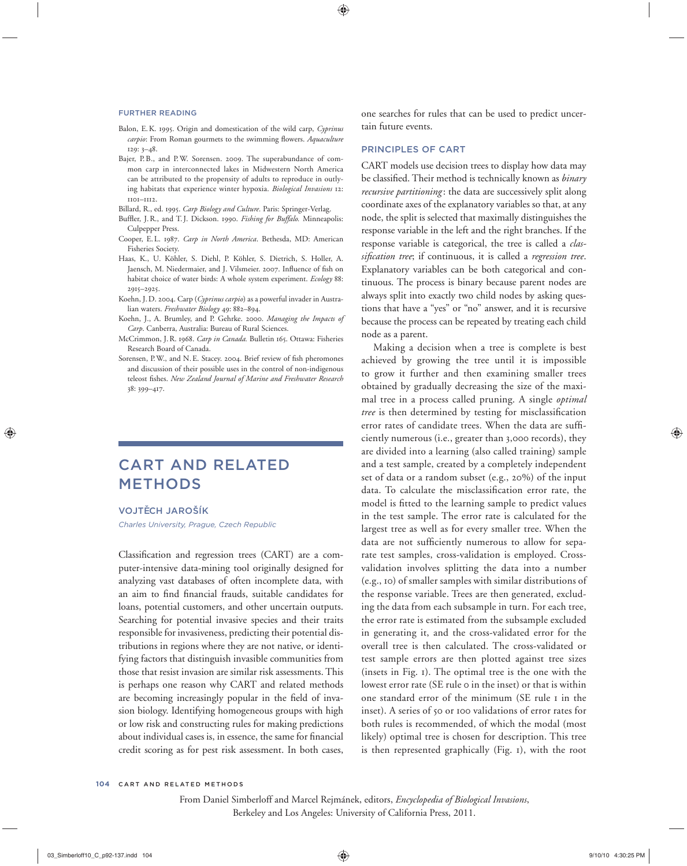#### FURTHER READING

- Balon, E. K. 1995. Origin and domestication of the wild carp, *Cyprinus carpio*: From Roman gourmets to the swimming flowers. *Aquaculture* 129: 3–48.
- Bajer, P.B., and P.W. Sorensen. 2009. The superabundance of common carp in interconnected lakes in Midwestern North America can be attributed to the propensity of adults to reproduce in outlying habitats that experience winter hypoxia. *Biological Invasions* 12: 1101–1112.
- Billard, R., ed. 1995. *Carp Biology and Culture.* Paris: Springer-Verlag.
- Buffler, J. R., and T. J. Dickson. 1990. *Fishing for Buffalo*. Minneapolis: Culpepper Press.
- Cooper, E. L. 1987. *Carp in North America*. Bethesda, MD: American Fisheries Society.
- Haas, K., U. Köhler, S. Diehl, P. Köhler, S. Dietrich, S. Holler, A. Jaensch, M. Niedermaier, and J. Vilsmeier. 2007. Influence of fish on habitat choice of water birds: A whole system experiment. *Ecology* 88: 2915–2925.
- Koehn, J. D. 2004. Carp (*Cyprinus carpio*) as a powerful invader in Australian waters. *Freshwater Biology* 49: 882–894.
- Koehn, J., A. Brumley, and P. Gehrke. 2000. *Managing the Impacts of Carp*. Canberra, Australia: Bureau of Rural Sciences.
- McCrimmon, J. R. 1968. *Carp in Canada.* Bulletin 165. Ottawa: Fisheries Research Board of Canada.
- Sorensen, P. W., and N. E. Stacey. 2004. Brief review of fish pheromones and discussion of their possible uses in the control of non-indigenous teleost fi shes. *New Zealand Journal of Marine and Freshwater Research* 38: 399–417.

# CART AND RELATED METHODS

## VOJTĚCH JAROŠÍK

*Charles University, Prague, Czech Republic*

Classification and regression trees (CART) are a computer-intensive data-mining tool originally designed for analyzing vast databases of often incomplete data, with an aim to find financial frauds, suitable candidates for loans, potential customers, and other uncertain outputs. Searching for potential invasive species and their traits responsible for invasiveness, predicting their potential distributions in regions where they are not native, or identifying factors that distinguish invasible communities from those that resist invasion are similar risk assessments. This is perhaps one reason why CART and related methods are becoming increasingly popular in the field of invasion biology. Identifying homogeneous groups with high or low risk and constructing rules for making predictions about individual cases is, in essence, the same for financial credit scoring as for pest risk assessment. In both cases,

one searches for rules that can be used to predict uncertain future events.

### PRINCIPLES OF CART

CART models use decision trees to display how data may be classified. Their method is technically known as *binary recursive partitioning* : the data are successively split along coordinate axes of the explanatory variables so that, at any node, the split is selected that maximally distinguishes the response variable in the left and the right branches. If the response variable is categorical, the tree is called a *classifi cation tree*; if continuous, it is called a *regression tree*. Explanatory variables can be both categorical and continuous. The process is binary because parent nodes are always split into exactly two child nodes by asking questions that have a "yes" or "no" answer, and it is recursive because the process can be repeated by treating each child node as a parent.

Making a decision when a tree is complete is best achieved by growing the tree until it is impossible to grow it further and then examining smaller trees obtained by gradually decreasing the size of the maximal tree in a process called pruning. A single *optimal tree* is then determined by testing for misclassification error rates of candidate trees. When the data are sufficiently numerous (i.e., greater than 3,000 records), they are divided into a learning (also called training) sample and a test sample, created by a completely independent set of data or a random subset (e.g., 20%) of the input data. To calculate the misclassification error rate, the model is fitted to the learning sample to predict values in the test sample. The error rate is calculated for the largest tree as well as for every smaller tree. When the data are not sufficiently numerous to allow for separate test samples, cross-validation is employed. Cross validation involves splitting the data into a number (e.g., 10) of smaller samples with similar distributions of the response variable. Trees are then generated, excluding the data from each subsample in turn. For each tree, the error rate is estimated from the subsample excluded in generating it, and the cross-validated error for the overall tree is then calculated. The cross-validated or test sample errors are then plotted against tree sizes (insets in Fig. 1). The optimal tree is the one with the lowest error rate (SE rule 0 in the inset) or that is within one standard error of the minimum (SE rule 1 in the inset). A series of 50 or 100 validations of error rates for both rules is recommended, of which the modal (most likely) optimal tree is chosen for description. This tree is then represented graphically (Fig. 1), with the root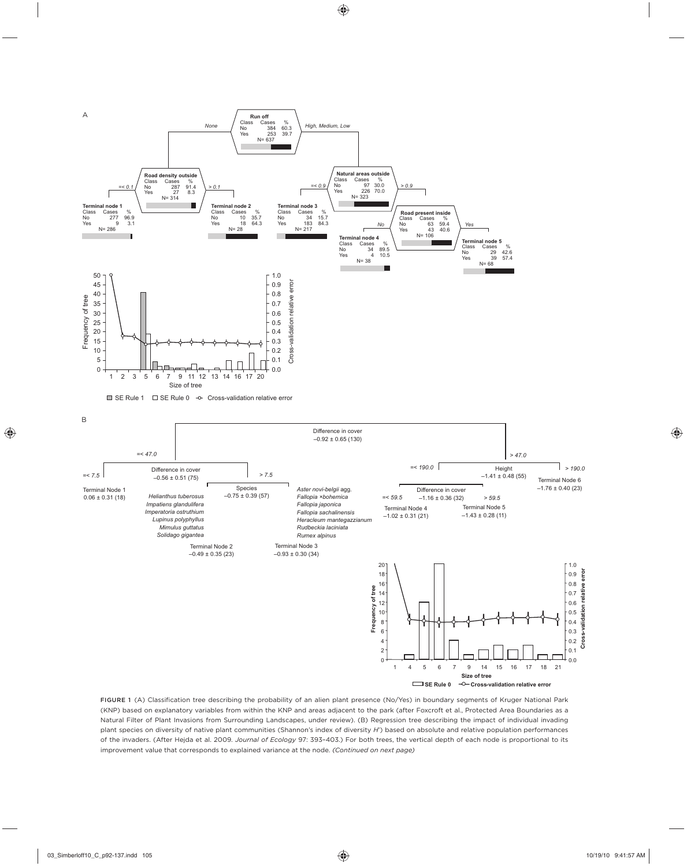

FIGURE 1 (A) Classification tree describing the probability of an alien plant presence (No/Yes) in boundary segments of Kruger National Park (KNP) based on explanatory variables from within the KNP and areas adjacent to the park (after Foxcroft et al., Protected Area Boundaries as a Natural Filter of Plant Invasions from Surrounding Landscapes, under review). (B) Regression tree describing the impact of individual invading plant species on diversity of native plant communities (Shannon's index of diversity *H*') based on absolute and relative population performances of the invaders. (After Hejda et al. 2009. *Journal of Ecology* 97: 393–403.) For both trees, the vertical depth of each node is proportional to its improvement value that corresponds to explained variance at the node. *(Continued on next page)*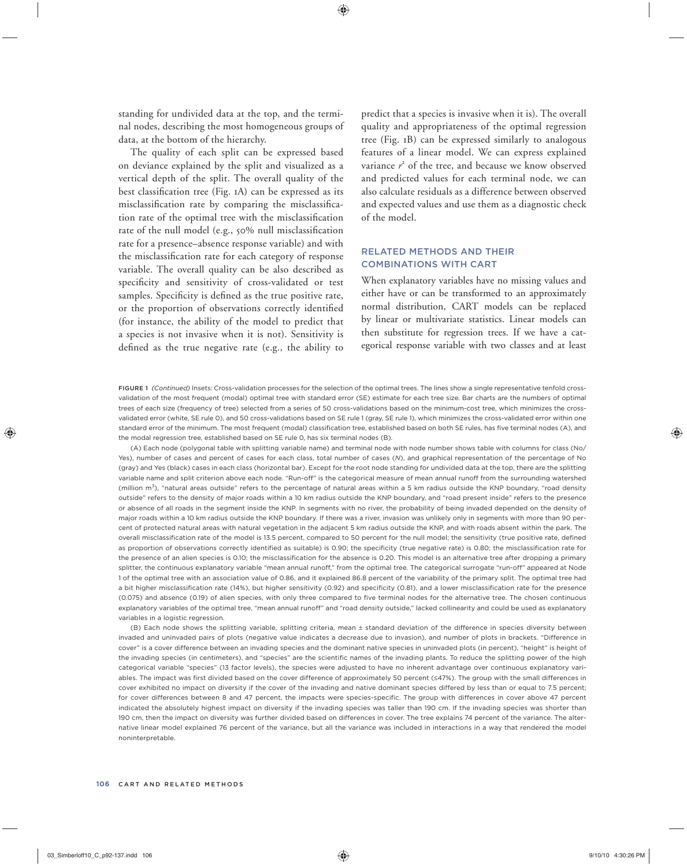standing for undivided data at the top, and the terminal nodes, describing the most homogeneous groups of data, at the bottom of the hierarchy.

The quality of each split can be expressed based on deviance explained by the split and visualized as a vertical depth of the split. The overall quality of the best classification tree (Fig. 1A) can be expressed as its misclassification rate by comparing the misclassification rate of the optimal tree with the misclassification rate of the null model (e.g., 50% null misclassification rate for a presence–absence response variable) and with the misclassification rate for each category of response variable. The overall quality can be also described as specificity and sensitivity of cross-validated or test samples. Specificity is defined as the true positive rate, or the proportion of observations correctly identified (for instance, the ability of the model to predict that a species is not invasive when it is not). Sensitivity is defined as the true negative rate (e.g., the ability to

predict that a species is invasive when it is). The overall quality and appropriateness of the optimal regression tree (Fig. 1B) can be expressed similarly to analogous features of a linear model. We can express explained variance  $r^2$  of the tree, and because we know observed and predicted values for each terminal node, we can also calculate residuals as a difference between observed and expected values and use them as a diagnostic check of the model.

## RELATED METHODS AND THEIR COMBINATIONS WITH CART

When explanatory variables have no missing values and either have or can be transformed to an approximately normal distribution, CART models can be replaced by linear or multivariate statistics. Linear models can then substitute for regression trees. If we have a categorical response variable with two classes and at least

FIGURE 1 *(Continued)* Insets: Cross-validation processes for the selection of the optimal trees. The lines show a single representative tenfold crossvalidation of the most frequent (modal) optimal tree with standard error (SE) estimate for each tree size. Bar charts are the numbers of optimal trees of each size (frequency of tree) selected from a series of 50 cross-validations based on the minimum-cost tree, which minimizes the crossvalidated error (white, SE rule 0), and 50 cross-validations based on SE rule 1 (gray, SE rule 1), which minimizes the cross-validated error within one standard error of the minimum. The most frequent (modal) classification tree, established based on both SE rules, has five terminal nodes (A), and the modal regression tree, established based on SE rule 0, has six terminal nodes (B).

(A) Each node (polygonal table with splitting variable name) and terminal node with node number shows table with columns for class (No/ Yes), number of cases and percent of cases for each class, total number of cases (*N*), and graphical representation of the percentage of No (gray) and Yes (black) cases in each class (horizontal bar). Except for the root node standing for undivided data at the top, there are the splitting variable name and split criterion above each node. "Run-off" is the categorical measure of mean annual runoff from the surrounding watershed (million m<sup>3</sup>), "natural areas outside" refers to the percentage of natural areas within a 5 km radius outside the KNP boundary, "road density outside" refers to the density of major roads within a 10 km radius outside the KNP boundary, and "road present inside" refers to the presence or absence of all roads in the segment inside the KNP. In segments with no river, the probability of being invaded depended on the density of major roads within a 10 km radius outside the KNP boundary. If there was a river, invasion was unlikely only in segments with more than 90 percent of protected natural areas with natural vegetation in the adjacent 5 km radius outside the KNP, and with roads absent within the park. The overall misclassification rate of the model is 13.5 percent, compared to 50 percent for the null model; the sensitivity (true positive rate, defined as proportion of observations correctly identified as suitable) is 0.90; the specificity (true negative rate) is 0.80; the misclassification rate for the presence of an alien species is 0.10; the misclassification for the absence is 0.20. This model is an alternative tree after dropping a primary splitter, the continuous explanatory variable "mean annual runoff," from the optimal tree. The categorical surrogate "run-off" appeared at Node 1 of the optimal tree with an association value of 0.86, and it explained 86.8 percent of the variability of the primary split. The optimal tree had a bit higher misclassification rate (14%), but higher sensitivity (0.92) and specificity (0.81), and a lower misclassification rate for the presence (0.075) and absence (0.19) of alien species, with only three compared to five terminal nodes for the alternative tree. The chosen continuous explanatory variables of the optimal tree, "mean annual runoff" and "road density outside," lacked collinearity and could be used as explanatory variables in a logistic regression.

(B) Each node shows the splitting variable, splitting criteria, mean ± standard deviation of the difference in species diversity between invaded and uninvaded pairs of plots (negative value indicates a decrease due to invasion), and number of plots in brackets. "Difference in cover" is a cover difference between an invading species and the dominant native species in uninvaded plots (in percent), "height" is height of the invading species (in centimeters), and "species" are the scientific names of the invading plants. To reduce the splitting power of the high categorical variable "species" (13 factor levels), the species were adjusted to have no inherent advantage over continuous explanatory variables. The impact was first divided based on the cover difference of approximately 50 percent (≤47%). The group with the small differences in cover exhibited no impact on diversity if the cover of the invading and native dominant species differed by less than or equal to 7.5 percent; for cover differences between 8 and 47 percent, the impacts were species-specific. The group with differences in cover above 47 percent indicated the absolutely highest impact on diversity if the invading species was taller than 190 cm. If the invading species was shorter than 190 cm, then the impact on diversity was further divided based on differences in cover. The tree explains 74 percent of the variance. The alternative linear model explained 76 percent of the variance, but all the variance was included in interactions in a way that rendered the model noninterpretable.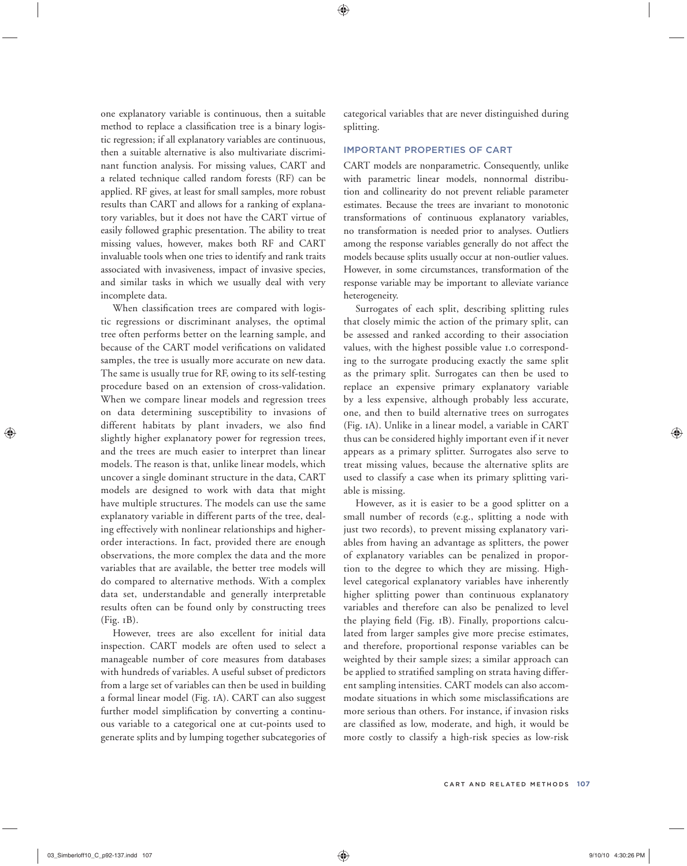one explanatory variable is continuous, then a suitable method to replace a classification tree is a binary logistic regression; if all explanatory variables are continuous, then a suitable alternative is also multivariate discriminant function analysis. For missing values, CART and a related technique called random forests (RF) can be applied. RF gives, at least for small samples, more robust results than CART and allows for a ranking of explanatory variables, but it does not have the CART virtue of easily followed graphic presentation. The ability to treat missing values, however, makes both RF and CART invaluable tools when one tries to identify and rank traits associated with invasiveness, impact of invasive species, and similar tasks in which we usually deal with very incomplete data.

When classification trees are compared with logistic regressions or discriminant analyses, the optimal tree often performs better on the learning sample, and because of the CART model verifications on validated samples, the tree is usually more accurate on new data. The same is usually true for RF, owing to its self-testing procedure based on an extension of cross-validation. When we compare linear models and regression trees on data determining susceptibility to invasions of different habitats by plant invaders, we also find slightly higher explanatory power for regression trees, and the trees are much easier to interpret than linear models. The reason is that, unlike linear models, which uncover a single dominant structure in the data, CART models are designed to work with data that might have multiple structures. The models can use the same explanatory variable in different parts of the tree, dealing effectively with nonlinear relationships and higherorder interactions. In fact, provided there are enough observations, the more complex the data and the more variables that are available, the better tree models will do compared to alternative methods. With a complex data set, understandable and generally interpretable results often can be found only by constructing trees  $(Fig. IB)$ .

However, trees are also excellent for initial data inspection. CART models are often used to select a manageable number of core measures from databases with hundreds of variables. A useful subset of predictors from a large set of variables can then be used in building a formal linear model (Fig. 1A). CART can also suggest further model simplification by converting a continuous variable to a categorical one at cut-points used to generate splits and by lumping together subcategories of categorical variables that are never distinguished during splitting.

#### IMPORTANT PROPERTIES OF CART

CART models are nonparametric. Consequently, unlike with parametric linear models, nonnormal distribution and collinearity do not prevent reliable parameter estimates. Because the trees are invariant to monotonic transformations of continuous explanatory variables, no transformation is needed prior to analyses. Outliers among the response variables generally do not affect the models because splits usually occur at non-outlier values. However, in some circumstances, transformation of the response variable may be important to alleviate variance heterogeneity.

Surrogates of each split, describing splitting rules that closely mimic the action of the primary split, can be assessed and ranked according to their association values, with the highest possible value 1.0 corresponding to the surrogate producing exactly the same split as the primary split. Surrogates can then be used to replace an expensive primary explanatory variable by a less expensive, although probably less accurate, one, and then to build alternative trees on surrogates (Fig. 1A). Unlike in a linear model, a variable in CART thus can be considered highly important even if it never appears as a primary splitter. Surrogates also serve to treat missing values, because the alternative splits are used to classify a case when its primary splitting variable is missing.

However, as it is easier to be a good splitter on a small number of records (e.g., splitting a node with just two records), to prevent missing explanatory variables from having an advantage as splitters, the power of explanatory variables can be penalized in proportion to the degree to which they are missing. Highlevel categorical explanatory variables have inherently higher splitting power than continuous explanatory variables and therefore can also be penalized to level the playing field (Fig. 1B). Finally, proportions calculated from larger samples give more precise estimates, and therefore, proportional response variables can be weighted by their sample sizes; a similar approach can be applied to stratified sampling on strata having different sampling intensities. CART models can also accommodate situations in which some misclassifications are more serious than others. For instance, if invasion risks are classified as low, moderate, and high, it would be more costly to classify a high-risk species as low-risk